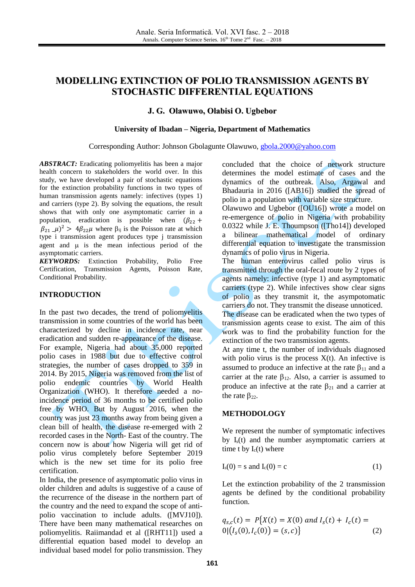# **MODELLING EXTINCTION OF POLIO TRANSMISSION AGENTS BY STOCHASTIC DIFFERENTIAL EQUATIONS**

## **J. G. Olawuwo, Olabisi O. Ugbebor**

#### **University of Ibadan – Nigeria, Department of Mathematics**

#### Corresponding Author: Johnson Gbolagunte Olawuwo, [gbola.2000@yahoo.com](mailto:gbola.2000@yahoo.com)

*ABSTRACT:* Eradicating poliomyelitis has been a major health concern to stakeholders the world over. In this study, we have developed a pair of stochastic equations for the extinction probability functions in two types of human transmission agents namely: infectives (types 1) and carriers (type 2). By solving the equations, the result shows that with only one asymptomatic carrier in a population, eradication is possible when  $(\beta_{22} +$  $\beta_{21}$   $\mu$ )<sup>2</sup> >  $4\beta_{22}\mu$  where  $\beta_{ij}$  is the Poisson rate at which type i transmission agent produces type j transmission agent and  $\mu$  is the mean infectious period of the asymptomatic carriers.

*KEYWORDS:* Extinction Probability, Polio Free Certification, Transmission Agents, Poisson Rate, Conditional Probability.

#### **INTRODUCTION**

In the past two decades, the trend of poliomyelitis transmission in some countries of the world has been characterized by decline in incidence rate, near eradication and sudden re-appearance of the disease. For example, Nigeria had about 35,000 reported polio cases in 1988 but due to effective control strategies, the number of cases dropped to 359 in 2014. By 2015, Nigeria was removed from the list of polio endemic countries by World Health Organization (WHO). It therefore needed a noincidence period of 36 months to be certified polio free by WHO. But by August 2016, when the country was just 23 months away from being given a clean bill of health, the disease re-emerged with 2 recorded cases in the North- East of the country. The concern now is about how Nigeria will get rid of polio virus completely before September 2019 which is the new set time for its polio free certification.

In India, the presence of asymptomatic polio virus in older children and adults is suggestive of a cause of the recurrence of the disease in the northern part of the country and the need to expand the scope of antipolio vaccination to include adults. ([MVJ10]). There have been many mathematical researches on poliomyelitis. Raiimandad et al ([RHT11]) used a differential equation based model to develop an individual based model for polio transmission. They

concluded that the choice of network structure determines the model estimate of cases and the dynamics of the outbreak. Also, Argawal and Bhadauria in 2016 ([AB16]) studied the spread of polio in a population with variable size structure.

Olawuwo and Ugbebor ([OU16]) wrote a model on re-emergence of polio in Nigeria with probability 0.0322 while J. E. Thoumpson ([Tho14]) developed a bilinear mathematical model of ordinary differential equation to investigate the transmission dynamics of polio virus in Nigeria.

The human enterovirus called polio virus is transmitted through the oral-fecal route by 2 types of agents namely: infective (type 1) and asymptomatic carriers (type 2). While infectives show clear signs of polio as they transmit it, the asympotomatic carriers do not. They transmit the disease unnoticed.

The disease can be eradicated when the two types of transmission agents cease to exist. The aim of this work was to find the probability function for the extinction of the two transmission agents.

At any time t, the number of individuals diagnosed with polio virus is the process  $X(t)$ . An infective is assumed to produce an infective at the rate  $\beta_{11}$  and a carrier at the rate  $\beta_{12}$ . Also, a carrier is assumed to produce an infective at the rate  $\beta_{21}$  and a carrier at the rate  $\beta_{22}$ .

#### **METHODOLOGY**

We represent the number of symptomatic infectives by  $I<sub>s</sub>(t)$  and the number asymptomatic carriers at time t by  $I_c(t)$  where

$$
I_s(0) = s \text{ and } I_c(0) = c \tag{1}
$$

Let the extinction probability of the 2 transmission agents be defined by the conditional probability function.

$$
q_{s,c}(t) = P\{X(t) = X(0) \text{ and } I_s(t) + I_c(t) = 0 | (I_s(0), I_c(0)) = (s, c) \}
$$
\n(2)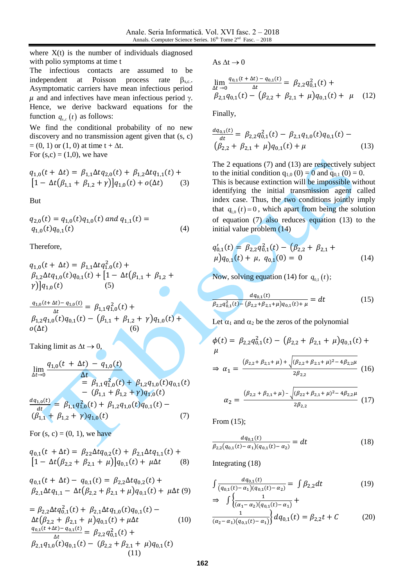where  $X(t)$  is the number of individuals diagnosed with polio symptoms at time t

The infectious contacts are assumed to be independent at Poisson process rate  $\beta_{s,c}$ . Asymptomatic carriers have mean infectious period  $\mu$  and and infectives have mean infectious period  $\gamma$ . Hence, we derive backward equations for the function  $q_{s,c}(t)$  as follows:

We find the conditional probability of no new discovery and no transmission agent given that (s, c)  $= (0, 1)$  or  $(1, 0)$  at time t +  $\Delta t$ . For  $(s, c) = (1, 0)$ , we have

$$
q_{1,0}(t + \Delta t) = \beta_{1,1} \Delta t q_{2,0}(t) + \beta_{1,2} \Delta t q_{1,1}(t) +
$$
  
\n
$$
[1 - \Delta t (\beta_{1,1} + \beta_{1,2} + \gamma)] q_{1,0}(t) + o(\Delta t)
$$
 (3)

But

$$
q_{2,0}(t) = q_{1,0}(t)q_{1,0}(t) \text{ and } q_{1,1}(t) =
$$
  
 
$$
q_{1,0}(t)q_{0,1}(t) \qquad (4)
$$

Therefore,

$$
q_{1,0}(t + \Delta t) = \beta_{1,1} \Delta t q_{1,0}^{2}(t) + \n\beta_{1,2} \Delta t q_{1,0}(t) q_{0,1}(t) + [1 - \Delta t (\beta_{1,1} + \beta_{1,2} + \n\gamma)] q_{1,0}(t)
$$
\n(5)

 $q_{1,0}(t+ \Delta t) - q_{1,0}(t)$  $\frac{\Delta t}{\Delta t} = \beta_{1,1} q_{1,0}^2(t) +$  $\beta_{1,2}q_{1,0}(t)q_{0,1}(t) - (\beta_{1,1} + \beta_{1,2} + \gamma)q_{1,0}(t) +$  $o(\Delta t)$  (6)

Taking limit as  $\Delta t \rightarrow 0$ ,

$$
\lim_{\Delta t \to 0} \frac{q_{1,0}(t + \Delta t) - q_{1,0}(t)}{\Delta t} \n= \beta_{1,1} q_{1,0}^2(t) + \beta_{1,2} q_{1,0}(t) q_{0,1}(t) \n- (\beta_{1,1} + \beta_{1,2} + \gamma) q_{1,0}(t) \n\frac{dq_{1,0}(t)}{dt} = \beta_{1,1} q_{1,0}^2(t) + \beta_{1,2} q_{1,0}(t) q_{0,1}(t) - \n(\beta_{1,1} + \beta_{1,2} + \gamma) q_{1,0}(t)
$$
\n(7)

For  $(s, c) = (0, 1)$ , we have

$$
q_{0,1}(t + \Delta t) = \beta_{22}\Delta t q_{0,2}(t) + \beta_{2,1}\Delta t q_{1,1}(t) +
$$
  
\n
$$
[1 - \Delta t (\beta_{2,2} + \beta_{2,1} + \mu)] q_{0,1}(t) + \mu \Delta t
$$
 (8)

$$
q_{0,1}(t + \Delta t) - q_{0,1}(t) = \beta_{2,2} \Delta t q_{0,2}(t) +
$$
  

$$
\beta_{2,1} \Delta t q_{1,1} - \Delta t (\beta_{2,2} + \beta_{2,1} + \mu) q_{0,1}(t) + \mu \Delta t
$$
 (9)

$$
= \beta_{2,2} \Delta t q_{0,1}^2(t) + \beta_{2,1} \Delta t q_{1,0}(t) q_{0,1}(t) -
$$
  
\n
$$
\Delta t (\beta_{2,2} + \beta_{2,1} + \mu) q_{0,1}(t) + \mu \Delta t \qquad (10)
$$
  
\n
$$
\frac{q_{0,1}(t + \Delta t) - q_{0,1}(t)}{\Delta t} = \beta_{2,2} q_{0,1}^2(t) +
$$
  
\n
$$
\beta_{2,1} q_{1,0}(t) q_{0,1}(t) - (\beta_{2,2} + \beta_{2,1} + \mu) q_{0,1}(t)
$$
  
\n(11)

As  $\Delta t \rightarrow 0$ 

$$
\lim_{\Delta t \to 0} \frac{q_{0,1}(t + \Delta t) - q_{0,1}(t)}{\Delta t} = \beta_{2,2} q_{0,1}^2(t) +
$$
\n
$$
\beta_{2,1} q_{0,1}(t) - (\beta_{2,2} + \beta_{2,1} + \mu) q_{0,1}(t) + \mu \quad (12)
$$

Finally,

$$
\frac{dq_{0,1}(t)}{dt} = \beta_{2,2}q_{0,1}^{2}(t) - \beta_{2,1}q_{1,0}(t)q_{0,1}(t) -
$$
  

$$
(\beta_{2,2} + \beta_{2,1} + \mu)q_{0,1}(t) + \mu
$$
 (13)

The 2 equations (7) and (13) are respectively subject to the initial condition  $q_{1,0} (0) = 0$  and  $q_{0,1} (0) = 0$ . This is because extinction will be impossible without identifying the initial transmission agent called index case. Thus, the two conditions jointly imply that  $q_{1,0}(t) = 0$ , which apart from being the solution of equation (7) also reduces equation (13) to the initial value problem (14)

$$
q'_{0,1}(t) = \beta_{2,2}q_{0,1}^{2}(t) - (\beta_{2,2} + \beta_{2,1} + \mu)q_{0,1}(t) + \mu, q_{0,1}(0) = 0
$$
\n(14)

Now, solving equation (14) for  $q_{0,1}(t)$ ;

$$
\frac{dq_{0,1}(t)}{\beta_{2,2}q_{0,1}^2(t) - (\beta_{2,2} + \beta_{2,1} + \mu)q_{0,1}(t) + \mu} = dt
$$
\n(15)

Let  $\alpha_1$  and  $\alpha_2$  be the zeros of the polynomial

$$
\phi(t) = \beta_{2,2} q_{0,1}^2(t) - (\beta_{2,2} + \beta_{2,1} + \mu) q_{0,1}(t) + \mu
$$
  

$$
\mu \Rightarrow \alpha_1 = \frac{(\beta_{2,2} + \beta_{2,1} + \mu) + \sqrt{(\beta_{2,2} + \beta_{2,1} + \mu)^2 - 4\beta_{2,2}\mu}}{2\beta_{2,2}} (16)
$$

$$
\alpha_2 = \frac{(\beta_{2,2} + \beta_{2,1} + \mu) - \sqrt{(\beta_{2,2} + \beta_{2,1} + \mu)^2 - 4\beta_{2,2}\mu}}{2\beta_{2,2}} \tag{17}
$$

From (15);

$$
\frac{dq_{0,1}(t)}{\beta_{2,2}(q_{0,1}(t)-\alpha_1)(q_{0,1}(t)-\alpha_2)} = dt \tag{18}
$$

Integrating (18)

$$
\int \frac{dq_{0,1}(t)}{(q_{0,1}(t) - \alpha_1)(q_{0,1}(t) - \alpha_2)} = \int \beta_{2,2} dt
$$
\n
$$
\Rightarrow \int \left\{ \frac{1}{(\alpha_1 - \alpha_2)(q_{0,1}(t) - \alpha_1)} + \right\}
$$
\n(19)

$$
\frac{1}{(\alpha_2 - \alpha_1)(q_{0,1}(t) - \alpha_1)} d q_{0,1}(t) = \beta_{2,2} t + C \tag{20}
$$